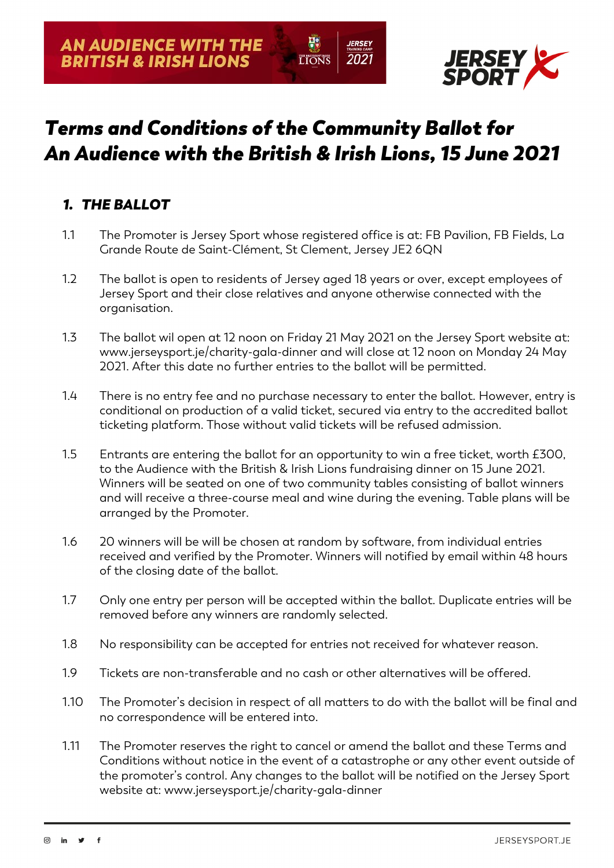

# *Terms and Conditions of the Community Ballot for An Audience with the British & Irish Lions, 15 June 2021*

**LIONS** 

*IERSEY* 

2021

## *1. THE BALLOT*

- 1.1 The Promoter is Jersey Sport whose registered office is at: FB Pavilion, FB Fields, La Grande Route de Saint-Clément, St Clement, Jersey JE2 6QN
- 1.2 The ballot is open to residents of Jersey aged 18 years or over, except employees of Jersey Sport and their close relatives and anyone otherwise connected with the organisation.
- 1.3 The ballot wil open at 12 noon on Friday 21 May 2021 on the Jersey Sport website at: www.jerseysport.je/charity-gala-dinner and will close at 12 noon on Monday 24 May 2021. After this date no further entries to the ballot will be permitted.
- 1.4 There is no entry fee and no purchase necessary to enter the ballot. However, entry is conditional on production of a valid ticket, secured via entry to the accredited ballot ticketing platform. Those without valid tickets will be refused admission.
- 1.5 Entrants are entering the ballot for an opportunity to win a free ticket, worth £300, to the Audience with the British & Irish Lions fundraising dinner on 15 June 2021. Winners will be seated on one of two community tables consisting of ballot winners and will receive a three-course meal and wine during the evening. Table plans will be arranged by the Promoter.
- 1.6 20 winners will be will be chosen at random by software, from individual entries received and verified by the Promoter. Winners will notified by email within 48 hours of the closing date of the ballot.
- 1.7 Only one entry per person will be accepted within the ballot. Duplicate entries will be removed before any winners are randomly selected.
- 1.8 No responsibility can be accepted for entries not received for whatever reason.
- 1.9 Tickets are non-transferable and no cash or other alternatives will be offered.
- 1.10 The Promoter's decision in respect of all matters to do with the ballot will be final and no correspondence will be entered into.
- 1.11 The Promoter reserves the right to cancel or amend the ballot and these Terms and Conditions without notice in the event of a catastrophe or any other event outside of the promoter's control. Any changes to the ballot will be notified on the Jersey Sport website at: www.jerseysport.je/charity-gala-dinner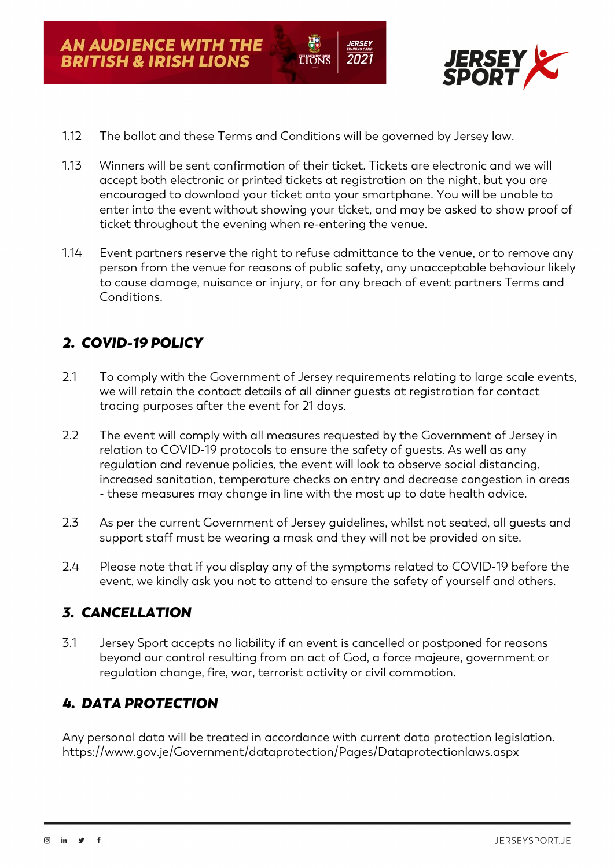

- 1.12 The ballot and these Terms and Conditions will be governed by Jersey law.
- 1.13 Winners will be sent confirmation of their ticket. Tickets are electronic and we will accept both electronic or printed tickets at registration on the night, but you are encouraged to download your ticket onto your smartphone. You will be unable to enter into the event without showing your ticket, and may be asked to show proof of ticket throughout the evening when re-entering the venue.

**TONS** 

2021

1.14 Event partners reserve the right to refuse admittance to the venue, or to remove any person from the venue for reasons of public safety, any unacceptable behaviour likely to cause damage, nuisance or injury, or for any breach of event partners Terms and Conditions.

### *2. COVID-19 POLICY*

- 2.1 To comply with the Government of Jersey requirements relating to large scale events, we will retain the contact details of all dinner guests at registration for contact tracing purposes after the event for 21 days.
- 2.2 The event will comply with all measures requested by the Government of Jersey in relation to COVID-19 protocols to ensure the safety of guests. As well as any regulation and revenue policies, the event will look to observe social distancing, increased sanitation, temperature checks on entry and decrease congestion in areas - these measures may change in line with the most up to date health advice.
- 2.3 As per the current Government of Jersey guidelines, whilst not seated, all guests and support staff must be wearing a mask and they will not be provided on site.
- 2.4 Please note that if you display any of the symptoms related to COVID-19 before the event, we kindly ask you not to attend to ensure the safety of yourself and others.

#### *3. CANCELLATION*

3.1 Jersey Sport accepts no liability if an event is cancelled or postponed for reasons beyond our control resulting from an act of God, a force majeure, government or regulation change, fire, war, terrorist activity or civil commotion.

#### *4. DATA PROTECTION*

Any personal data will be treated in accordance with current data protection legislation. https://www.gov.je/Government/dataprotection/Pages/Dataprotectionlaws.aspx